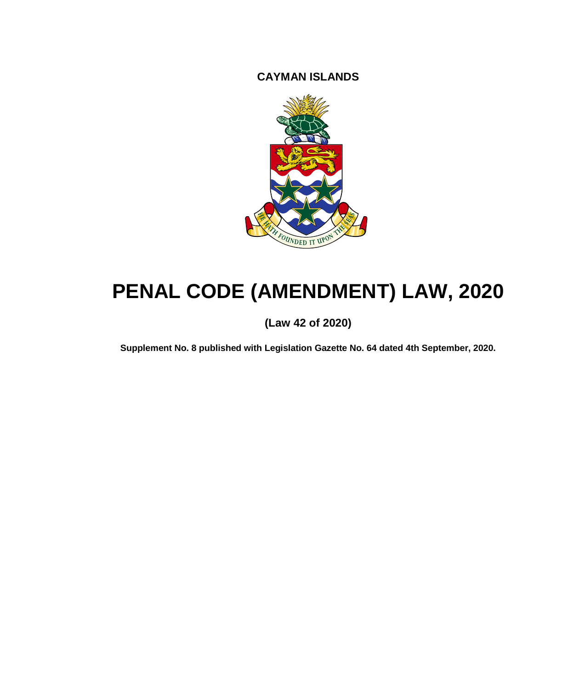**CAYMAN ISLANDS**



# **PENAL CODE (AMENDMENT) LAW, 2020**

### **(Law 42 of 2020)**

**Supplement No. 8 published with Legislation Gazette No. 64 dated 4th September, 2020.**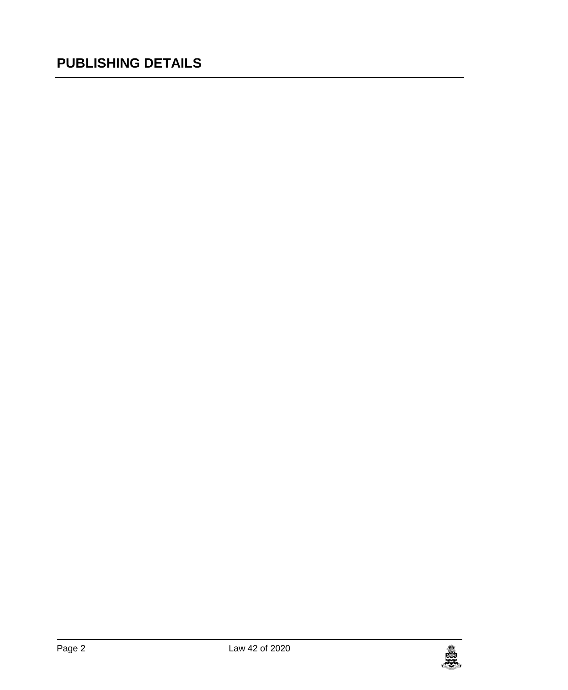## **PUBLISHING DETAILS**

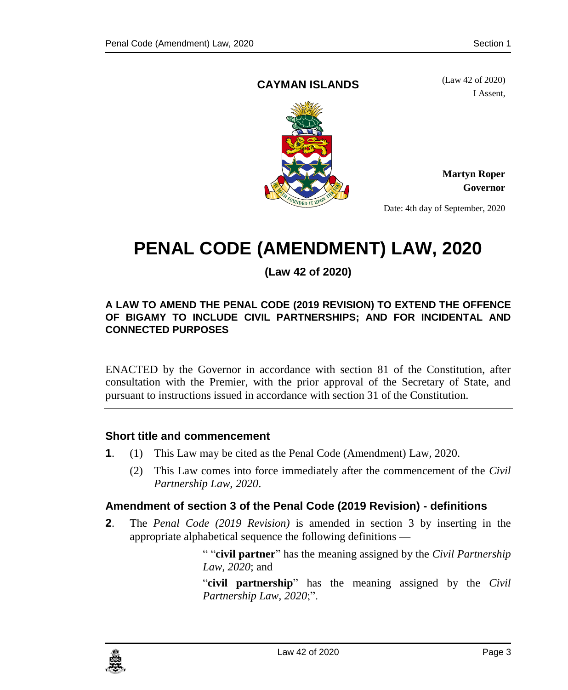#### **CAYMAN ISLANDS**

(Law 42 of 2020) I Assent,



**Martyn Roper Governor**

Date: 4th day of September, 2020

## **PENAL CODE (AMENDMENT) LAW, 2020**

**(Law 42 of 2020)**

#### **A LAW TO AMEND THE PENAL CODE (2019 REVISION) TO EXTEND THE OFFENCE OF BIGAMY TO INCLUDE CIVIL PARTNERSHIPS; AND FOR INCIDENTAL AND CONNECTED PURPOSES**

ENACTED by the Governor in accordance with section 81 of the Constitution, after consultation with the Premier, with the prior approval of the Secretary of State, and pursuant to instructions issued in accordance with section 31 of the Constitution.

#### **1. Short title and commencement**

- **1**. (1) This Law may be cited as the Penal Code (Amendment) Law, 2020.
	- (2) This Law comes into force immediately after the commencement of the *Civil Partnership Law, 2020*.

#### **2. Amendment of section 3 of the Penal Code (2019 Revision) - definitions**

**2**. The *Penal Code (2019 Revision)* is amended in section 3 by inserting in the appropriate alphabetical sequence the following definitions —

> " "**civil partner**" has the meaning assigned by the *Civil Partnership Law, 2020*; and

> "**civil partnership**" has the meaning assigned by the *Civil Partnership Law, 2020*;".